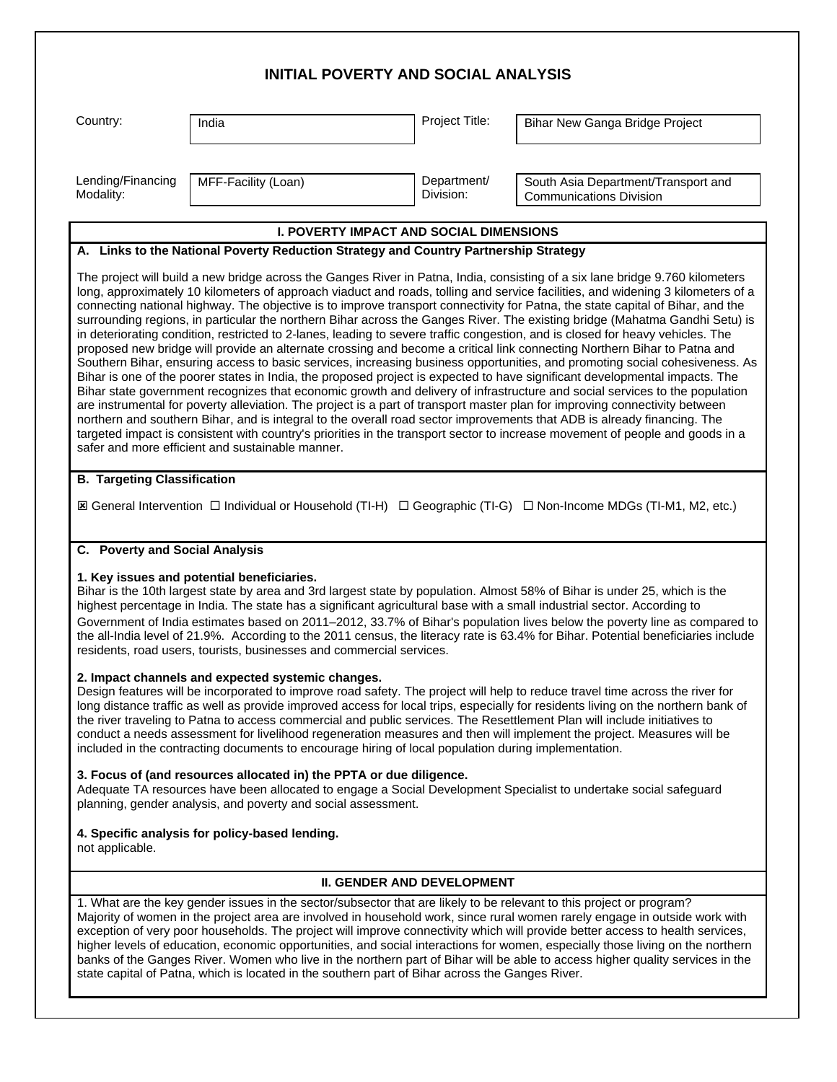| <b>INITIAL POVERTY AND SOCIAL ANALYSIS</b>                                           |                                                                                                                                                                                                                                                                                                                                                                                                            |                                   |                                                                                                                                                                                                                                                                                                                                                                                                                                                                                                                                                                                                                                                                                                                                                                                                                                                                                                                                                                                                                                                                                                                                                                                                                                                                                                                                                                                                                                                        |  |  |  |  |  |
|--------------------------------------------------------------------------------------|------------------------------------------------------------------------------------------------------------------------------------------------------------------------------------------------------------------------------------------------------------------------------------------------------------------------------------------------------------------------------------------------------------|-----------------------------------|--------------------------------------------------------------------------------------------------------------------------------------------------------------------------------------------------------------------------------------------------------------------------------------------------------------------------------------------------------------------------------------------------------------------------------------------------------------------------------------------------------------------------------------------------------------------------------------------------------------------------------------------------------------------------------------------------------------------------------------------------------------------------------------------------------------------------------------------------------------------------------------------------------------------------------------------------------------------------------------------------------------------------------------------------------------------------------------------------------------------------------------------------------------------------------------------------------------------------------------------------------------------------------------------------------------------------------------------------------------------------------------------------------------------------------------------------------|--|--|--|--|--|
| Country:                                                                             | India                                                                                                                                                                                                                                                                                                                                                                                                      | Project Title:                    | Bihar New Ganga Bridge Project                                                                                                                                                                                                                                                                                                                                                                                                                                                                                                                                                                                                                                                                                                                                                                                                                                                                                                                                                                                                                                                                                                                                                                                                                                                                                                                                                                                                                         |  |  |  |  |  |
| Lending/Financing<br>Modality:                                                       | MFF-Facility (Loan)                                                                                                                                                                                                                                                                                                                                                                                        | Department/<br>Division:          | South Asia Department/Transport and<br><b>Communications Division</b>                                                                                                                                                                                                                                                                                                                                                                                                                                                                                                                                                                                                                                                                                                                                                                                                                                                                                                                                                                                                                                                                                                                                                                                                                                                                                                                                                                                  |  |  |  |  |  |
| <b>I. POVERTY IMPACT AND SOCIAL DIMENSIONS</b>                                       |                                                                                                                                                                                                                                                                                                                                                                                                            |                                   |                                                                                                                                                                                                                                                                                                                                                                                                                                                                                                                                                                                                                                                                                                                                                                                                                                                                                                                                                                                                                                                                                                                                                                                                                                                                                                                                                                                                                                                        |  |  |  |  |  |
| A. Links to the National Poverty Reduction Strategy and Country Partnership Strategy |                                                                                                                                                                                                                                                                                                                                                                                                            |                                   |                                                                                                                                                                                                                                                                                                                                                                                                                                                                                                                                                                                                                                                                                                                                                                                                                                                                                                                                                                                                                                                                                                                                                                                                                                                                                                                                                                                                                                                        |  |  |  |  |  |
|                                                                                      | safer and more efficient and sustainable manner.                                                                                                                                                                                                                                                                                                                                                           |                                   | long, approximately 10 kilometers of approach viaduct and roads, tolling and service facilities, and widening 3 kilometers of a<br>connecting national highway. The objective is to improve transport connectivity for Patna, the state capital of Bihar, and the<br>surrounding regions, in particular the northern Bihar across the Ganges River. The existing bridge (Mahatma Gandhi Setu) is<br>in deteriorating condition, restricted to 2-lanes, leading to severe traffic congestion, and is closed for heavy vehicles. The<br>proposed new bridge will provide an alternate crossing and become a critical link connecting Northern Bihar to Patna and<br>Southern Bihar, ensuring access to basic services, increasing business opportunities, and promoting social cohesiveness. As<br>Bihar is one of the poorer states in India, the proposed project is expected to have significant developmental impacts. The<br>Bihar state government recognizes that economic growth and delivery of infrastructure and social services to the population<br>are instrumental for poverty alleviation. The project is a part of transport master plan for improving connectivity between<br>northern and southern Bihar, and is integral to the overall road sector improvements that ADB is already financing. The<br>targeted impact is consistent with country's priorities in the transport sector to increase movement of people and goods in a |  |  |  |  |  |
| <b>B. Targeting Classification</b>                                                   |                                                                                                                                                                                                                                                                                                                                                                                                            |                                   |                                                                                                                                                                                                                                                                                                                                                                                                                                                                                                                                                                                                                                                                                                                                                                                                                                                                                                                                                                                                                                                                                                                                                                                                                                                                                                                                                                                                                                                        |  |  |  |  |  |
|                                                                                      |                                                                                                                                                                                                                                                                                                                                                                                                            |                                   | I General Intervention □ Individual or Household (TI-H) □ Geographic (TI-G) □ Non-Income MDGs (TI-M1, M2, etc.)                                                                                                                                                                                                                                                                                                                                                                                                                                                                                                                                                                                                                                                                                                                                                                                                                                                                                                                                                                                                                                                                                                                                                                                                                                                                                                                                        |  |  |  |  |  |
| C. Poverty and Social Analysis                                                       |                                                                                                                                                                                                                                                                                                                                                                                                            |                                   |                                                                                                                                                                                                                                                                                                                                                                                                                                                                                                                                                                                                                                                                                                                                                                                                                                                                                                                                                                                                                                                                                                                                                                                                                                                                                                                                                                                                                                                        |  |  |  |  |  |
|                                                                                      | 1. Key issues and potential beneficiaries.<br>highest percentage in India. The state has a significant agricultural base with a small industrial sector. According to<br>residents, road users, tourists, businesses and commercial services.<br>2. Impact channels and expected systemic changes.<br>included in the contracting documents to encourage hiring of local population during implementation. |                                   | Bihar is the 10th largest state by area and 3rd largest state by population. Almost 58% of Bihar is under 25, which is the<br>Government of India estimates based on 2011–2012, 33.7% of Bihar's population lives below the poverty line as compared to<br>the all-India level of 21.9%. According to the 2011 census, the literacy rate is 63.4% for Bihar. Potential beneficiaries include<br>Design features will be incorporated to improve road safety. The project will help to reduce travel time across the river for<br>long distance traffic as well as provide improved access for local trips, especially for residents living on the northern bank of<br>the river traveling to Patna to access commercial and public services. The Resettlement Plan will include initiatives to<br>conduct a needs assessment for livelihood regeneration measures and then will implement the project. Measures will be                                                                                                                                                                                                                                                                                                                                                                                                                                                                                                                                |  |  |  |  |  |
|                                                                                      | 3. Focus of (and resources allocated in) the PPTA or due diligence.<br>planning, gender analysis, and poverty and social assessment.                                                                                                                                                                                                                                                                       |                                   | Adequate TA resources have been allocated to engage a Social Development Specialist to undertake social safeguard                                                                                                                                                                                                                                                                                                                                                                                                                                                                                                                                                                                                                                                                                                                                                                                                                                                                                                                                                                                                                                                                                                                                                                                                                                                                                                                                      |  |  |  |  |  |
| not applicable.                                                                      | 4. Specific analysis for policy-based lending.                                                                                                                                                                                                                                                                                                                                                             |                                   |                                                                                                                                                                                                                                                                                                                                                                                                                                                                                                                                                                                                                                                                                                                                                                                                                                                                                                                                                                                                                                                                                                                                                                                                                                                                                                                                                                                                                                                        |  |  |  |  |  |
|                                                                                      |                                                                                                                                                                                                                                                                                                                                                                                                            | <b>II. GENDER AND DEVELOPMENT</b> |                                                                                                                                                                                                                                                                                                                                                                                                                                                                                                                                                                                                                                                                                                                                                                                                                                                                                                                                                                                                                                                                                                                                                                                                                                                                                                                                                                                                                                                        |  |  |  |  |  |
|                                                                                      | 1. What are the key gender issues in the sector/subsector that are likely to be relevant to this project or program?                                                                                                                                                                                                                                                                                       |                                   | Majority of women in the project area are involved in household work, since rural women rarely engage in outside work with<br>exception of very poor households. The project will improve connectivity which will provide better access to health services,<br>higher levels of education, economic opportunities, and social interactions for women, especially those living on the northern<br>banks of the Ganges River. Women who live in the northern part of Bihar will be able to access higher quality services in the                                                                                                                                                                                                                                                                                                                                                                                                                                                                                                                                                                                                                                                                                                                                                                                                                                                                                                                         |  |  |  |  |  |

state capital of Patna, which is located in the southern part of Bihar across the Ganges River.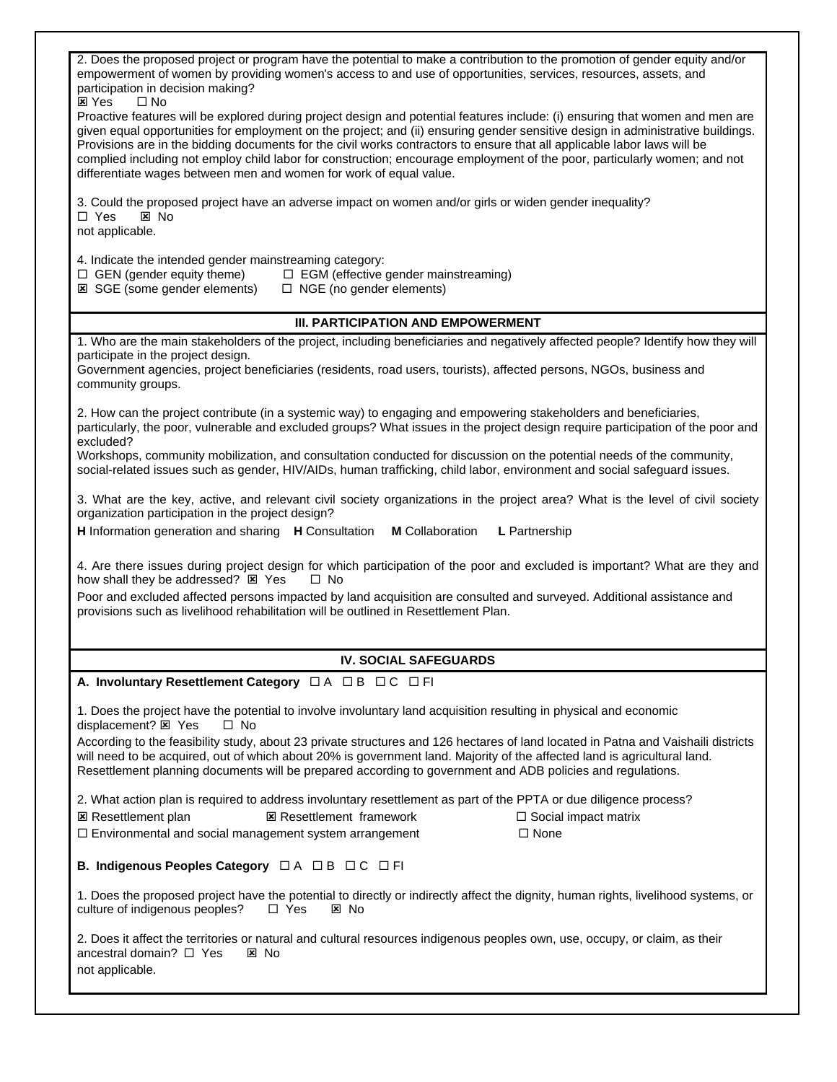| 2. Does the proposed project or program have the potential to make a contribution to the promotion of gender equity and/or<br>empowerment of women by providing women's access to and use of opportunities, services, resources, assets, and<br>participation in decision making?                                                                                                                                                                                                                                                                                                                                            |  |  |  |  |  |  |  |
|------------------------------------------------------------------------------------------------------------------------------------------------------------------------------------------------------------------------------------------------------------------------------------------------------------------------------------------------------------------------------------------------------------------------------------------------------------------------------------------------------------------------------------------------------------------------------------------------------------------------------|--|--|--|--|--|--|--|
| <b>E</b> Yes<br>$\Box$ No<br>Proactive features will be explored during project design and potential features include: (i) ensuring that women and men are<br>given equal opportunities for employment on the project; and (ii) ensuring gender sensitive design in administrative buildings.<br>Provisions are in the bidding documents for the civil works contractors to ensure that all applicable labor laws will be<br>complied including not employ child labor for construction; encourage employment of the poor, particularly women; and not<br>differentiate wages between men and women for work of equal value. |  |  |  |  |  |  |  |
| 3. Could the proposed project have an adverse impact on women and/or girls or widen gender inequality?<br>$\Box$ Yes<br>$\boxtimes$ No<br>not applicable.                                                                                                                                                                                                                                                                                                                                                                                                                                                                    |  |  |  |  |  |  |  |
| 4. Indicate the intended gender mainstreaming category:<br>$\Box$ GEN (gender equity theme)<br>□ EGM (effective gender mainstreaming)<br><b>E</b> SGE (some gender elements)<br>$\Box$ NGE (no gender elements)                                                                                                                                                                                                                                                                                                                                                                                                              |  |  |  |  |  |  |  |
| <b>III. PARTICIPATION AND EMPOWERMENT</b>                                                                                                                                                                                                                                                                                                                                                                                                                                                                                                                                                                                    |  |  |  |  |  |  |  |
| 1. Who are the main stakeholders of the project, including beneficiaries and negatively affected people? Identify how they will                                                                                                                                                                                                                                                                                                                                                                                                                                                                                              |  |  |  |  |  |  |  |
| participate in the project design.<br>Government agencies, project beneficiaries (residents, road users, tourists), affected persons, NGOs, business and<br>community groups.                                                                                                                                                                                                                                                                                                                                                                                                                                                |  |  |  |  |  |  |  |
| 2. How can the project contribute (in a systemic way) to engaging and empowering stakeholders and beneficiaries,<br>particularly, the poor, vulnerable and excluded groups? What issues in the project design require participation of the poor and<br>excluded?                                                                                                                                                                                                                                                                                                                                                             |  |  |  |  |  |  |  |
| Workshops, community mobilization, and consultation conducted for discussion on the potential needs of the community,<br>social-related issues such as gender, HIV/AIDs, human trafficking, child labor, environment and social safeguard issues.                                                                                                                                                                                                                                                                                                                                                                            |  |  |  |  |  |  |  |
| 3. What are the key, active, and relevant civil society organizations in the project area? What is the level of civil society<br>organization participation in the project design?                                                                                                                                                                                                                                                                                                                                                                                                                                           |  |  |  |  |  |  |  |
| L Partnership<br>H Information generation and sharing H Consultation<br><b>M</b> Collaboration                                                                                                                                                                                                                                                                                                                                                                                                                                                                                                                               |  |  |  |  |  |  |  |
| 4. Are there issues during project design for which participation of the poor and excluded is important? What are they and<br>how shall they be addressed? E Yes<br>$\Box$ No                                                                                                                                                                                                                                                                                                                                                                                                                                                |  |  |  |  |  |  |  |
| Poor and excluded affected persons impacted by land acquisition are consulted and surveyed. Additional assistance and<br>provisions such as livelihood rehabilitation will be outlined in Resettlement Plan.                                                                                                                                                                                                                                                                                                                                                                                                                 |  |  |  |  |  |  |  |
|                                                                                                                                                                                                                                                                                                                                                                                                                                                                                                                                                                                                                              |  |  |  |  |  |  |  |
| <b>IV. SOCIAL SAFEGUARDS</b>                                                                                                                                                                                                                                                                                                                                                                                                                                                                                                                                                                                                 |  |  |  |  |  |  |  |
| A. Involuntary Resettlement Category $\Box A \Box B \Box C \Box F I$                                                                                                                                                                                                                                                                                                                                                                                                                                                                                                                                                         |  |  |  |  |  |  |  |
| 1. Does the project have the potential to involve involuntary land acquisition resulting in physical and economic<br>displacement? 図 Yes<br>$\Box$ No                                                                                                                                                                                                                                                                                                                                                                                                                                                                        |  |  |  |  |  |  |  |
| According to the feasibility study, about 23 private structures and 126 hectares of land located in Patna and Vaishaili districts<br>will need to be acquired, out of which about 20% is government land. Majority of the affected land is agricultural land.<br>Resettlement planning documents will be prepared according to government and ADB policies and regulations.                                                                                                                                                                                                                                                  |  |  |  |  |  |  |  |
| 2. What action plan is required to address involuntary resettlement as part of the PPTA or due diligence process?<br><b>図 Resettlement plan</b><br><b>図 Resettlement framework</b><br>$\Box$ Social impact matrix<br>□ Environmental and social management system arrangement<br>$\Box$ None                                                                                                                                                                                                                                                                                                                                 |  |  |  |  |  |  |  |
| B. Indigenous Peoples Category □ A □ B □ C □ FI                                                                                                                                                                                                                                                                                                                                                                                                                                                                                                                                                                              |  |  |  |  |  |  |  |
| 1. Does the proposed project have the potential to directly or indirectly affect the dignity, human rights, livelihood systems, or<br>culture of indigenous peoples?<br>$\Box$ Yes<br>図 No                                                                                                                                                                                                                                                                                                                                                                                                                                   |  |  |  |  |  |  |  |
| 2. Does it affect the territories or natural and cultural resources indigenous peoples own, use, occupy, or claim, as their<br>ancestral domain? $\Box$ Yes<br>区 No<br>not applicable.                                                                                                                                                                                                                                                                                                                                                                                                                                       |  |  |  |  |  |  |  |